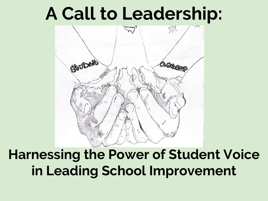# **A Call to Leadership:**



## **Harnessing the Power of Student Voice in Leading School Improvement**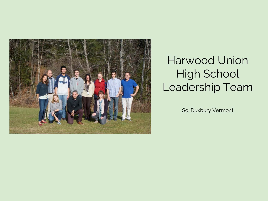

### Harwood Union High School Leadership Team

So. Duxbury Vermont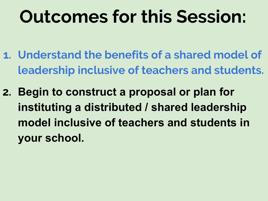# **Outcomes for this Session:**

- **1. Understand the benefits of a shared model of leadership inclusive of teachers and students.**
- **2. Begin to construct a proposal or plan for instituting a distributed / shared leadership model inclusive of teachers and students in your school.**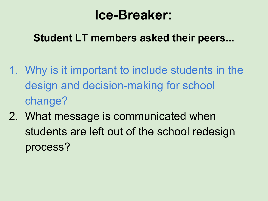## **Ice-Breaker:**

#### **Student LT members asked their peers...**

- 1. Why is it important to include students in the design and decision-making for school change?
- 2. What message is communicated when students are left out of the school redesign process?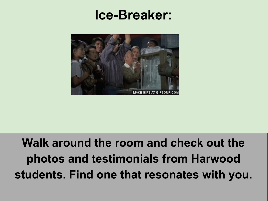## **Ice-Breaker:**



## **Walk around the room and check out the photos and testimonials from Harwood students. Find one that resonates with you.**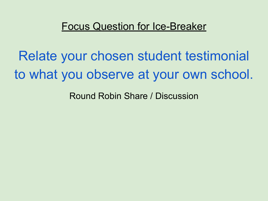#### Focus Question for Ice-Breaker

Relate your chosen student testimonial to what you observe at your own school.

Round Robin Share / Discussion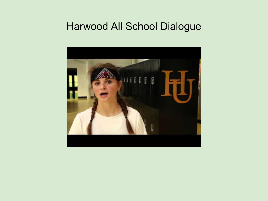#### Harwood All School Dialogue

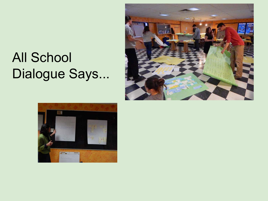# All School Dialogue Says...



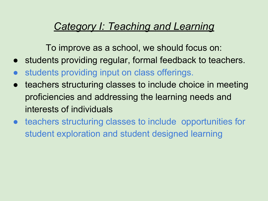#### *Category I: Teaching and Learning*

To improve as a school, we should focus on:

- students providing regular, formal feedback to teachers.
- students providing input on class offerings.
- teachers structuring classes to include choice in meeting proficiencies and addressing the learning needs and interests of individuals
- teachers structuring classes to include opportunities for student exploration and student designed learning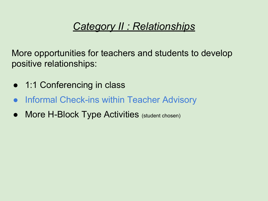#### *Category II : Relationships*

More opportunities for teachers and students to develop positive relationships:

- 1:1 Conferencing in class
- **Informal Check-ins within Teacher Advisory**
- More H-Block Type Activities (student chosen)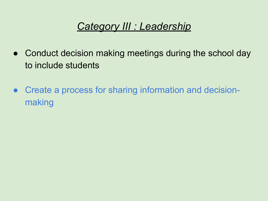#### *Category III : Leadership*

- Conduct decision making meetings during the school day to include students
- Create a process for sharing information and decisionmaking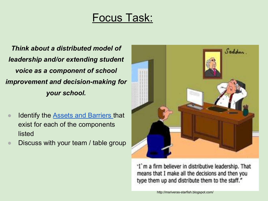#### Focus Task:

*Think about a distributed model of leadership and/or extending student voice as a component of school improvement and decision-making for your school.*

- **Identify the Assets and Barriers that** [exist for each of the components](https://docs.google.com/document/d/1S2mHA4HCHQ7lpeeROQTJ1XRVVRJBIal8hb_DqWATGdw/edit)  [listed](https://docs.google.com/document/d/1S2mHA4HCHQ7lpeeROQTJ1XRVVRJBIal8hb_DqWATGdw/edit)
- [Discuss with your team / table group](https://docs.google.com/document/d/1S2mHA4HCHQ7lpeeROQTJ1XRVVRJBIal8hb_DqWATGdw/edit)



"I'm a firm believer in distributive leadership. That means that I make all the decisions and then you type them up and distribute them to the staff."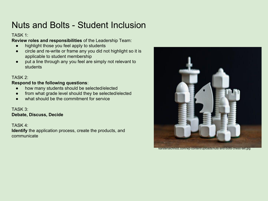#### Nuts and Bolts - Student Inclusion

#### TASK 1:

**Review roles and responsibilities** of the Leadership Team:

- highlight those you feel apply to students
- circle and re-write or frame any you did not highlight so it is applicable to student membership
- put a line through any you feel are simply not relevant to students

#### TASK 2:

#### **Respond to the following questions**:

- how many students should be selected/elected
- from what grade level should they be selected/elected
- what should be the commitment for service

#### TASK 3: **Debate, Discuss, Decide**

TASK 4:

**Identify** the application process, create the products, and communicate



[karstenaichholz.com/wp-content/uploads/nuts-and-bolts-chess-set.jpg](https://www.karstenaichholz.com/wp-content/uploads/nuts-and-bolts-chess-set.jpg)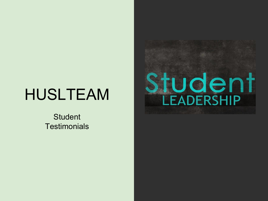# HUSLTEAM

**Student Testimonials** 

# Student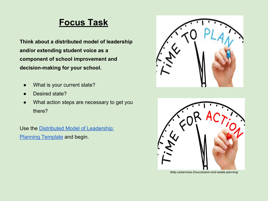#### **Focus Task**

**Think about a distributed model of leadership and/or extending student voice as a component of school improvement and decision-making for your school.**

- What is your current state?
- Desired state?
- What action steps are necessary to get you there?

Use the [Distributed Model of Leadership:](https://docs.google.com/document/d/1tQ3o_aqlMJKR18Ra8AjzfcdzlR2TJrELLHtelbTEQlQ/edit) **[Planning Template](https://docs.google.com/document/d/1tQ3o_aqlMJKR18Ra8AjzfcdzlR2TJrELLHtelbTEQlQ/edit) and begin.** 





kbllp.ca/services-2/succession-and-estate-planning/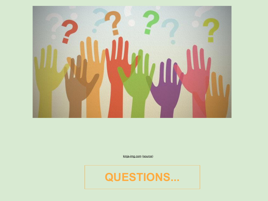

[kinja-img.com](https://i.kinja-img.com/gawker-media/image/upload/s--afygzOV---/c_fill,fl_progressive,g_north,h_358,q_80,w_636/ihsllhptnnm4vb7wuvgq.jpg) ([source\)](http://lifehacker.com/the-five-best-questions-a-job-candidate-can-ask-1599296074)

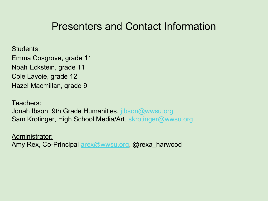#### Presenters and Contact Information

Students:

Emma Cosgrove, grade 11 Noah Eckstein, grade 11 Cole Lavoie, grade 12 Hazel Macmillan, grade 9

Teachers: Jonah Ibson, 9th Grade Humanities, [jibson@wwsu.org](mailto:jibson@wwsu.org) Sam Krotinger, High School Media/Art, [skrotinger@wwsu.org](mailto:skrotinger@wwsu.org)

Administrator: Amy Rex, Co-Principal **arex@wwsu.org, @rexa\_harwood**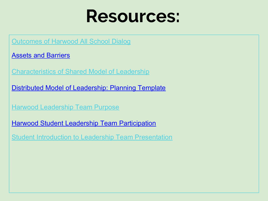# **Resources:**

**[Outcomes of Harwood All School Dialog](https://docs.google.com/document/d/12ANGy2AYywNAK75Q-o-mi7Hj0CdN_qYUgxJ-vgC1joY/edit)** 

[Assets and Barriers](https://docs.google.com/document/d/1S2mHA4HCHQ7lpeeROQTJ1XRVVRJBIal8hb_DqWATGdw/edit)

[Characteristics of Shared Model of Leadership](https://docs.google.com/document/d/118zJbtvD6-9nVPuiUFAj-hkv_SHaCvhU6Lfqmb3F9Zo/edit)

[Distributed Model of Leadership: Planning Template](https://docs.google.com/document/d/1tQ3o_aqlMJKR18Ra8AjzfcdzlR2TJrELLHtelbTEQlQ/edit)

[Harwood Leadership Team Purpose](https://docs.google.com/document/d/15uP6LVSZQru8v42BFLN6yo2sRS5Qy0wtbaFe4wnxhkY/edit)

**[Harwood Student Leadership Team Participation](https://docs.google.com/document/d/1ZChVStjBjPqMOZXsBs0hpj-NZ20AQQmCxlQ3SripCuQ/edit)** 

[Student Introduction to Leadership Team Presentation](https://docs.google.com/presentation/d/1N4vsg6vl4h_JXc41biD22EyXtHi-slkBffZCyrK2dEI/edit#slide=id.gaed42d4ff_0_97)